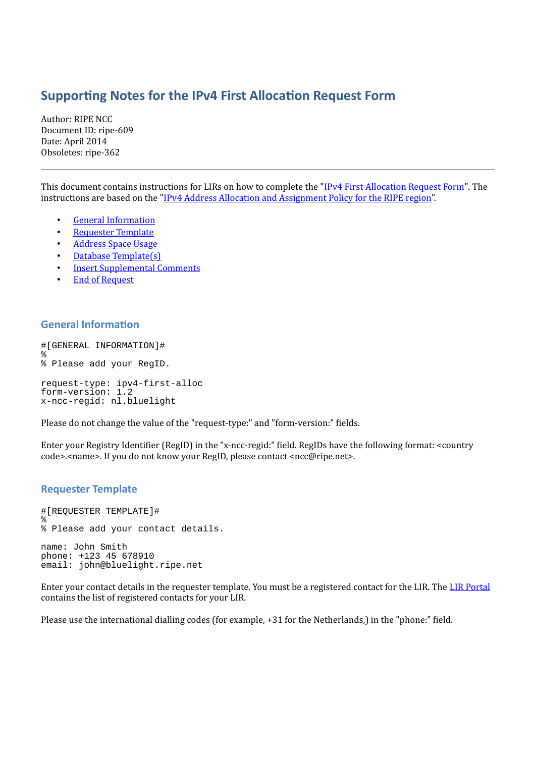# **Supporting Notes for the IPv4 First Allocation Request Form**

Author: RIPE NCC Document ID: ripe-609 Date: April 2014 Obsoletes: ripe-362

This document contains instructions for LIRs on how to complete the ["IPv4 First Allocation Request Form"](http://www.ripe.net/ripe/docs/first-allocation). The instructions are based on the ["IPv4 Address Allocation and Assignment Policy for the RIPE region"](http://www.ripe.net/ripe/docs/ipv4-policies).

- [General Information](#page-0-1)
- [Requester Template](#page-0-0)
- [Address Space Usage](#page-1-1)
- [Database Template\(s\)](#page-1-0)
- **[Insert Supplemental Comments](#page-2-1)**
- **[End of Request](#page-2-0)**

#### <span id="page-0-1"></span>**General Information**

```
#[GENERAL INFORMATION]#
%
% Please add your RegID.
request-type: ipv4-first-alloc
form-version: 1.2
x-ncc-regid: nl.bluelight
```
Please do not change the value of the "request-type:" and "form-version:" fields.

Enter your Registry Identifier (RegID) in the "x-ncc-regid:" field. RegIDs have the following format: <country code>.<name>. If you do not know your RegID, please contact <ncc@ripe.net>.

#### <span id="page-0-0"></span>**Requester Template**

```
#[REQUESTER TEMPLATE]#
\approx% Please add your contact details.
name: John Smith
phone: +123 45 678910
email: john@bluelight.ripe.net
```
Enter your contact details in the requester template. You must be a registered contact for the LIR. The [LIR Portal](https://lirportal.ripe.net/) contains the list of registered contacts for your LIR.

Please use the international dialling codes (for example, +31 for the Netherlands,) in the "phone:" field.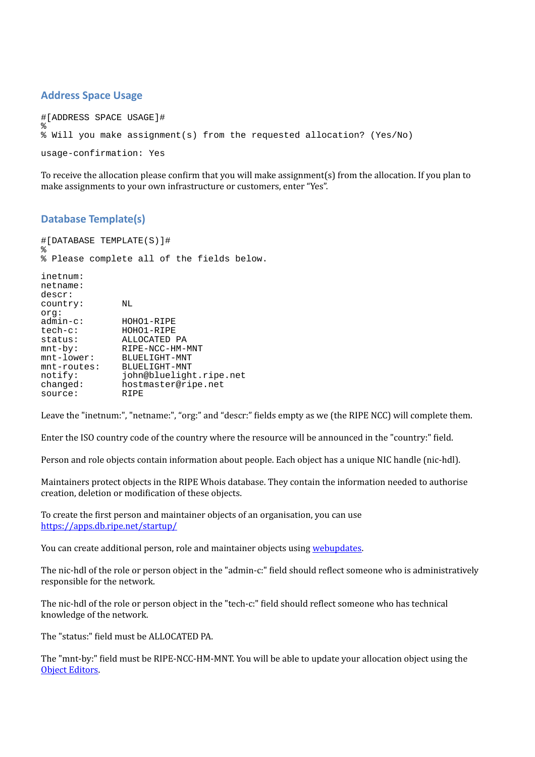## <span id="page-1-1"></span>**Address Space Usage**

```
#[ADDRESS SPACE USAGE]#
%
% Will you make assignment(s) from the requested allocation? (Yes/No)
usage-confirmation: Yes
```
To receive the allocation please confirm that you will make assignment(s) from the allocation. If you plan to make assignments to your own infrastructure or customers, enter "Yes".

# <span id="page-1-0"></span>**Database Template(s)**

#[DATABASE TEMPLATE(S)]# % % Please complete all of the fields below. inetnum: netname: descr: country: NL org:<br>admin-c: admin-c: HOHO1-RIPE<br>tech-c: HOHO1-RIPE HOHO1-RIPE status: ALLOCATED PA<br>mnt-by: RIPE-NCC-HMmnt-by: RIPE-NCC-HM-MNT<br>mnt-lower: BLUELIGHT-MNT BLUELIGHT-MNT<br>BLUELIGHT-MNT mnt-routes: notify: john@bluelight.ripe.net<br>changed: hostmaster@ripe.net hostmaster@ripe.net source: RIPE

Leave the "inetnum:", "netname:", "org:" and "descr:" fields empty as we (the RIPE NCC) will complete them.

Enter the ISO country code of the country where the resource will be announced in the "country:" field.

Person and role objects contain information about people. Each object has a unique NIC handle (nic-hdl).

Maintainers protect objects in the RIPE Whois database. They contain the information needed to authorise creation, deletion or modification of these objects.

To create the first person and maintainer objects of an organisation, you can use <https://apps.db.ripe.net/startup/>

You can create additional person, role and maintainer objects using [webupdates.](https://www.ripe.net/webupdates)

The nic-hdl of the role or person object in the "admin-c:" field should reflect someone who is administratively responsible for the network.

The nic-hdl of the role or person object in the "tech-c:" field should reflect someone who has technical knowledge of the network.

The "status:" field must be ALLOCATED PA.

The "mnt-by:" field must be RIPE-NCC-HM-MNT. You will be able to update your allocation object using the [Object Editors.](https://lirportal.ripe.net/)